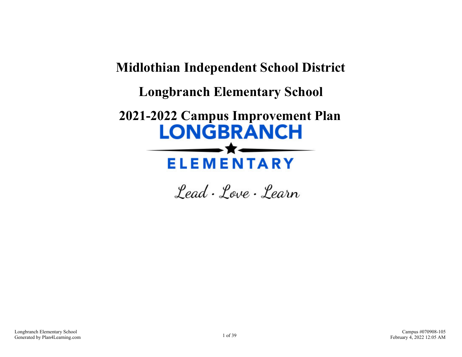**Midlothian Independent School District Longbranch Elementary School 2021-2022 Campus Improvement Plan LONGBRANCH ELEMENTARY** 

Lead . Love . Learn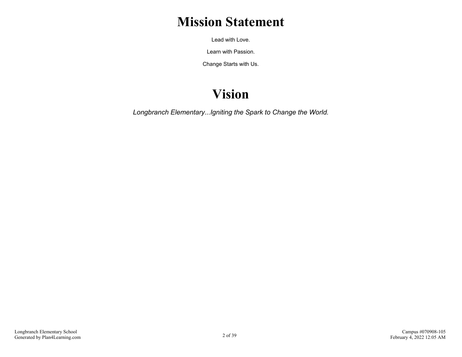# **Mission Statement**

Lead with Love.

Learn with Passion.

Change Starts with Us.

# **Vision**

*Longbranch Elementary...Igniting the Spark to Change the World.*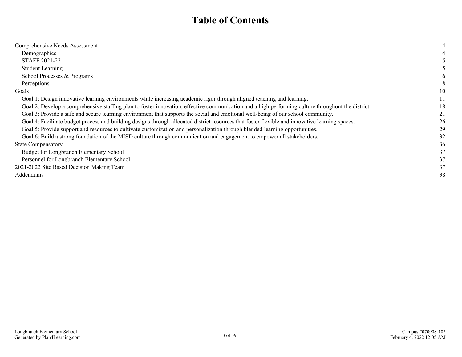# **Table of Contents**

| Comprehensive Needs Assessment                                                                                                                     |    |
|----------------------------------------------------------------------------------------------------------------------------------------------------|----|
| Demographics                                                                                                                                       |    |
| <b>STAFF 2021-22</b>                                                                                                                               |    |
| <b>Student Learning</b>                                                                                                                            |    |
| School Processes & Programs                                                                                                                        |    |
| Perceptions                                                                                                                                        |    |
| Goals                                                                                                                                              | 10 |
| Goal 1: Design innovative learning environments while increasing academic rigor through aligned teaching and learning.                             | 11 |
| Goal 2: Develop a comprehensive staffing plan to foster innovation, effective communication and a high performing culture throughout the district. | 18 |
| Goal 3: Provide a safe and secure learning environment that supports the social and emotional well-being of our school community.                  | 21 |
| Goal 4: Facilitate budget process and building designs through allocated district resources that foster flexible and innovative learning spaces.   | 26 |
| Goal 5: Provide support and resources to cultivate customization and personalization through blended learning opportunities.                       | 29 |
| Goal 6: Build a strong foundation of the MISD culture through communication and engagement to empower all stakeholders.                            | 32 |
| <b>State Compensatory</b>                                                                                                                          | 36 |
| Budget for Longbranch Elementary School                                                                                                            | 37 |
| Personnel for Longbranch Elementary School                                                                                                         | 37 |
| 2021-2022 Site Based Decision Making Team                                                                                                          | 37 |
| Addendums                                                                                                                                          | 38 |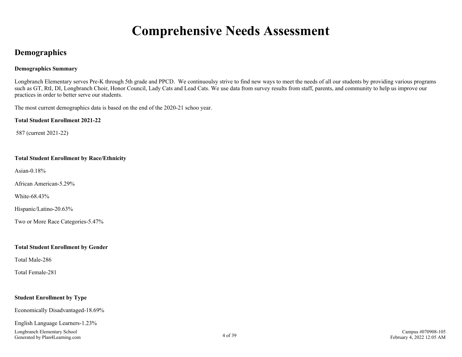# **Comprehensive Needs Assessment**

## <span id="page-3-0"></span>**Demographics**

#### **Demographics Summary**

Longbranch Elementary serves Pre-K through 5th grade and PPCD. We continuoulsy strive to find new ways to meet the needs of all our students by providing various programs such as GT, RtI, DI, Longbranch Choir, Honor Council, Lady Cats and Lead Cats. We use data from survey results from staff, parents, and community to help us improve our practices in order to better serve our students.

The most current demographics data is based on the end of the 2020-21 schoo year.

**Total Student Enrollment 2021-22**

587 (current 2021-22)

#### **Total Student Enrollment by Race/Ethnicity**

Asian-0.18%

African American-5.29%

White-68.43%

Hispanic/Latino-20.63%

Two or More Race Categories-5.47%

#### **Total Student Enrollment by Gender**

Total Male-286

Total Female-281

### **Student Enrollment by Type**

Economically Disadvantaged-18.69%

## English Language Learners-1.23%

Longbranch Elementary School Generated by Plan4Learning.com 4 of 39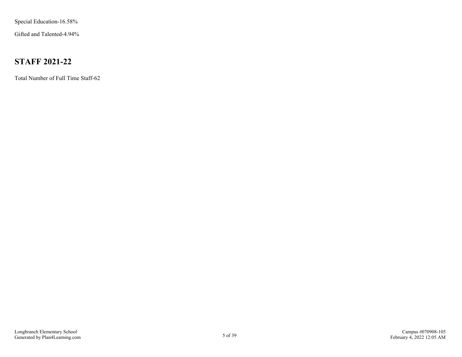<span id="page-4-0"></span>Special Education-16.58%

Gifted and Talented-4.94%

# **STAFF 2021-22**

Total Number of Full Time Staff-62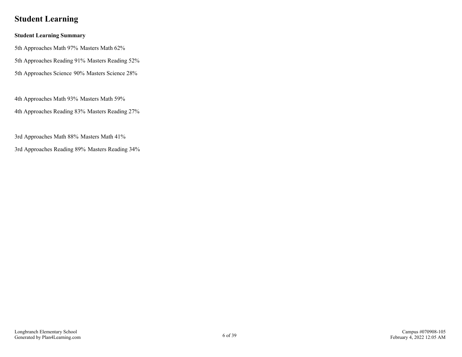# <span id="page-5-0"></span>**Student Learning**

### **Student Learning Summary**

5th Approaches Math 97% Masters Math 62%

5th Approaches Reading 91% Masters Reading 52%

5th Approaches Science 90% Masters Science 28%

4th Approaches Math 93% Masters Math 59%

4th Approaches Reading 83% Masters Reading 27%

3rd Approaches Math 88% Masters Math 41%

3rd Approaches Reading 89% Masters Reading 34%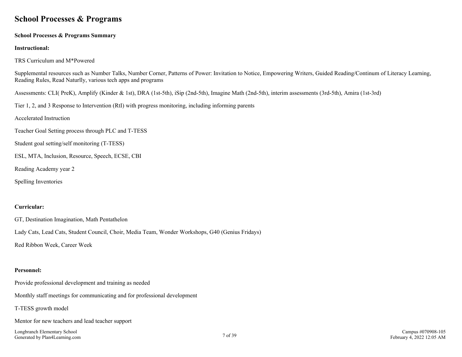## <span id="page-6-0"></span>**School Processes & Programs**

#### **School Processes & Programs Summary**

#### **Instructional:**

TRS Curriculum and M\*Powered

Supplemental resources such as Number Talks, Number Corner, Patterns of Power: Invitation to Notice, Empowering Writers, Guided Reading/Continum of Literacy Learning, Reading Rules, Read Naturlly, various tech apps and programs

Assessments: CLI( PreK), Amplify (Kinder & 1st), DRA (1st-5th), iSip (2nd-5th), Imagine Math (2nd-5th), interim assessments (3rd-5th), Amira (1st-3rd)

Tier 1, 2, and 3 Response to Intervention (RtI) with progress monitoring, including informing parents

Accelerated Instruction

Teacher Goal Setting process through PLC and T-TESS

Student goal setting/self monitoring (T-TESS)

ESL, MTA, Inclusion, Resource, Speech, ECSE, CBI

Reading Academy year 2

Spelling Inventories

#### **Curricular:**

GT, Destination Imagination, Math Pentathelon

Lady Cats, Lead Cats, Student Council, Choir, Media Team, Wonder Workshops, G40 (Genius Fridays)

Red Ribbon Week, Career Week

#### **Personnel:**

Provide professional development and training as needed

Monthly staff meetings for communicating and for professional development

T-TESS growth model

Mentor for new teachers and lead teacher support

Longbranch Elementary School Generated by Plan4Learning.com 7 of 39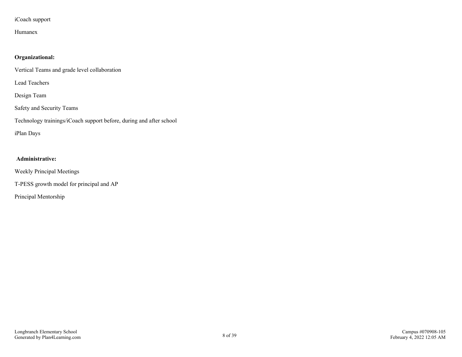## iCoach support

## Humanex

## **Organizational:**

Vertical Teams and grade level collaboration

Lead Teachers

Design Team

Safety and Security Teams

Technology trainings/iCoach support before, during and after school

iPlan Days

### **Administrative:**

Weekly Principal Meetings

T-PESS growth model for principal and AP

Principal Mentorship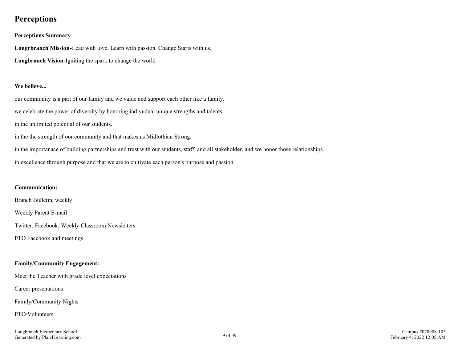## <span id="page-8-0"></span>**Perceptions**

#### **Perceptions Summary**

**Longrbranch Mission**-Lead with love. Learn with passion. Change Starts with us. **Longbranch Vision**-Igniting the spark to change the world

#### **We believe...**

our community is a part of our family and we value and support each other like a family. we celebrate the power of diversity by honoring indivudual unique strengths and talents. in the unlimited potential of our students. in the the strength of our community and that makes us Midlothian Strong. in the importanace of building partnerships and trust with our students, staff, and all stakeholder, and we honor those relationships.

in excellence through purpose and that we are to cultivate each person's purpose and passion.

#### **Communication:**

Branch Bulletin, weekly

Weekly Parent E-mail

Twitter, Facebook, Weekly Classroom Newsletters

PTO Facebook and meetings

### **Family/Community Engagement:**

Meet the Teacher with grade level expectations

Career presentations

Family/Community Nights

### PTO/Volunteers

Longbranch Elementary School Fongoranch Exementary School 2018 of 39<br>Generated by Plan4Learning.com 9 of 39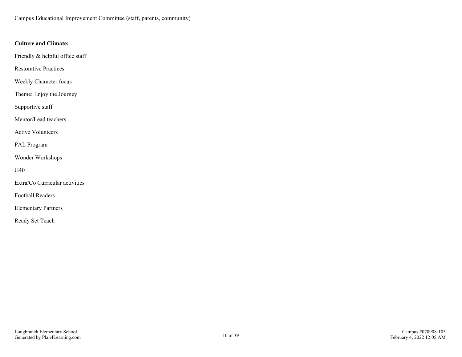Campus Educational Improvement Committee (staff, parents, community)

### **Culture and Climate:**

Friendly & helpful office staff

Restorative Practices

Weekly Character focus

Theme: Enjoy the Journey

Supportive staff

Mentor/Lead teachers

Active Volunteers

PAL Program

Wonder Workshops

G40

Extra/Co Curricular activities

Football Readers

Elementary Partners

Ready Set Teach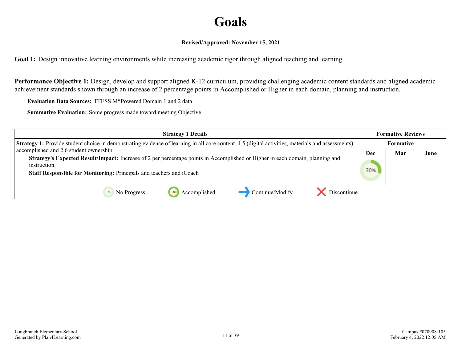# **Goals**

### **Revised/Approved: November 15, 2021**

<span id="page-10-0"></span>**Goal 1:** Design innovative learning environments while increasing academic rigor through aligned teaching and learning.

**Performance Objective 1:** Design, develop and support aligned K-12 curriculum, providing challenging academic content standards and aligned academic achievement standards shown through an increase of 2 percentage points in Accomplished or Higher in each domain, planning and instruction.

**Evaluation Data Sources:** TTESS M\*Powered Domain 1 and 2 data

| <b>Strategy 1 Details</b>                                                                                                                                | <b>Formative Reviews</b> |           |      |
|----------------------------------------------------------------------------------------------------------------------------------------------------------|--------------------------|-----------|------|
| <b>Strategy 1:</b> Provide student choice in demonstrating evidence of learning in all core content. 1.5 (digital activities, materials and assessments) |                          | Formative |      |
| accomplished and 2.6 student ownership                                                                                                                   | Dec                      | Mar       | June |
| Strategy's Expected Result/Impact: Increase of 2 per percentage points in Accomplished or Higher in each domain, planning and<br>instruction.            |                          |           |      |
| Staff Responsible for Monitoring: Principals and teachers and iCoach                                                                                     | 30%                      |           |      |
| Discontinue<br>Continue/Modify<br>Accomplished<br>1009<br>No Progress                                                                                    |                          |           |      |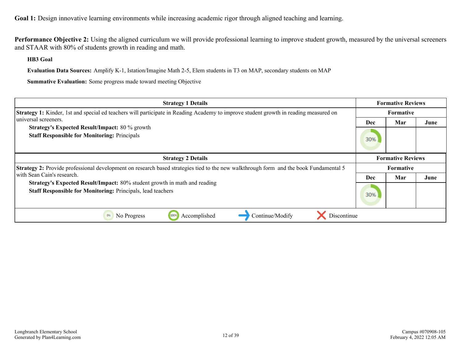**Performance Objective 2:** Using the aligned curriculum we will provide professional learning to improve student growth, measured by the universal screeners and STAAR with 80% of students growth in reading and math.

**HB3 Goal**

**Evaluation Data Sources:** Amplify K-1, Istation/Imagine Math 2-5, Elem students in T3 on MAP, secondary students on MAP

| <b>Strategy 1 Details</b>                                                                                                                       | <b>Formative Reviews</b> |     |      |
|-------------------------------------------------------------------------------------------------------------------------------------------------|--------------------------|-----|------|
| <b>Strategy 1:</b> Kinder, 1st and special ed teachers will participate in Reading Academy to improve student growth in reading measured on     | Formative                |     |      |
| universal screeners.                                                                                                                            | Dec                      | Mar | June |
| <b>Strategy's Expected Result/Impact: 80 % growth</b><br><b>Staff Responsible for Monitoring: Principals</b>                                    | 30%                      |     |      |
| <b>Strategy 2 Details</b>                                                                                                                       | <b>Formative Reviews</b> |     |      |
| <b>Strategy 2:</b> Provide professional development on research based strategies tied to the new walkthrough form and the book Fundamental 5    | Formative                |     |      |
| with Sean Cain's research.                                                                                                                      | Dec                      | Mar | June |
| Strategy's Expected Result/Impact: 80% student growth in math and reading<br><b>Staff Responsible for Monitoring: Principals, lead teachers</b> | 30%                      |     |      |
| Continue/Modify<br>Discontinue<br>0%<br>No Progress<br>Accomplished<br>100%                                                                     |                          |     |      |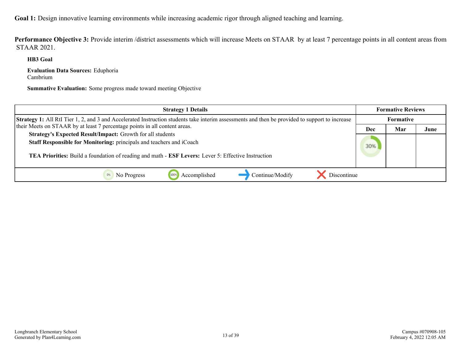**Performance Objective 3:** Provide interim /district assessments which will increase Meets on STAAR by at least 7 percentage points in all content areas from STAAR 2021.

**HB3 Goal**

**Evaluation Data Sources:** Eduphoria Cambrium

| <b>Strategy 1 Details</b>                                                                                                                             | <b>Formative Reviews</b> |     |      |
|-------------------------------------------------------------------------------------------------------------------------------------------------------|--------------------------|-----|------|
| <b>Strategy 1:</b> All RtI Tier 1, 2, and 3 and Accelerated Instruction students take interim assessments and then be provided to support to increase | Formative                |     |      |
| their Meets on STAAR by at least 7 percentage points in all content areas.                                                                            | Dec                      | Mar | June |
| Strategy's Expected Result/Impact: Growth for all students                                                                                            |                          |     |      |
| Staff Responsible for Monitoring: principals and teachers and iCoach                                                                                  | 30%                      |     |      |
| TEA Priorities: Build a foundation of reading and math - ESF Levers: Lever 5: Effective Instruction                                                   |                          |     |      |
| Continue/Modify<br>Discontinue<br>No Progress<br>Accomplished                                                                                         |                          |     |      |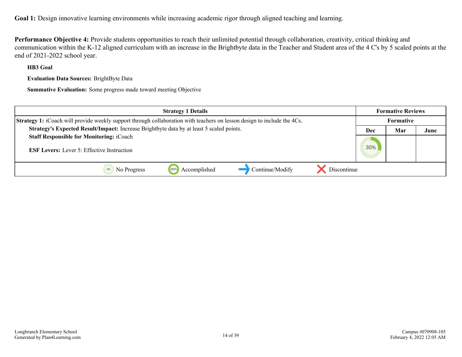**Performance Objective 4:** Provide students opportunities to reach their unlimited potential through collaboration, creativity, critical thinking and communication within the K-12 aligned curriculum with an increase in the Brightbyte data in the Teacher and Student area of the 4 C's by 5 scaled points at the end of 2021-2022 school year.

**HB3 Goal**

**Evaluation Data Sources:** BrightByte Data

| <b>Strategy 1 Details</b>                                                                                               | <b>Formative Reviews</b> |           |      |
|-------------------------------------------------------------------------------------------------------------------------|--------------------------|-----------|------|
| Strategy 1: iCoach will provide weekly support through collaboration with teachers on lesson design to include the 4Cs. |                          | Formative |      |
| Strategy's Expected Result/Impact: Increase Brightbyte data by at least 5 scaled points.                                | Dec                      | Mar       | June |
| <b>Staff Responsible for Monitoring: iCoach</b>                                                                         |                          |           |      |
| <b>ESF Levers:</b> Lever 5: Effective Instruction                                                                       | 30%                      |           |      |
|                                                                                                                         |                          |           |      |
| Continue/Modify<br>Accomplished<br>Discontinue<br>1009<br>No Progress                                                   |                          |           |      |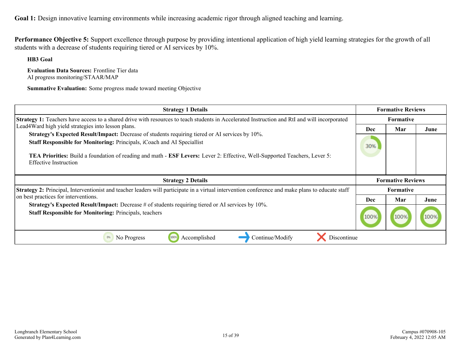**Performance Objective 5:** Support excellence through purpose by providing intentional application of high yield learning strategies for the growth of all students with a decrease of students requiring tiered or AI services by 10%.

**HB3 Goal**

**Evaluation Data Sources:** Frontline Tier data AI progress monitoring/STAAR/MAP

| <b>Strategy 1 Details</b>                                                                                                                                                  | <b>Formative Reviews</b> |                          |      |
|----------------------------------------------------------------------------------------------------------------------------------------------------------------------------|--------------------------|--------------------------|------|
| Strategy 1: Teachers have access to a shared drive with resources to teach students in Accelerated Instruction and RtI and will incorporated                               | Formative                |                          |      |
| Lead4Ward high yield strategies into lesson plans.                                                                                                                         | Dec                      | Mar                      | June |
| Strategy's Expected Result/Impact: Decrease of students requiring tiered or AI services by 10%.<br>Staff Responsible for Monitoring: Principals, iCoach and AI Speciallist | 30%                      |                          |      |
| <b>TEA Priorities:</b> Build a foundation of reading and math - <b>ESF Levers:</b> Lever 2: Effective, Well-Supported Teachers, Lever 5:<br><b>Effective Instruction</b>   |                          |                          |      |
|                                                                                                                                                                            |                          |                          |      |
| <b>Strategy 2 Details</b>                                                                                                                                                  |                          | <b>Formative Reviews</b> |      |
| Strategy 2: Principal, Interventionist and teacher leaders will participate in a virtual intervention conference and make plans to educate staff                           |                          | <b>Formative</b>         |      |
| on best practices for interventions.                                                                                                                                       | <b>Dec</b>               | Mar                      | June |
| Strategy's Expected Result/Impact: Decrease # of students requiring tiered or AI services by 10%.<br><b>Staff Responsible for Monitoring: Principals, teachers</b>         | 100%                     | 100%                     |      |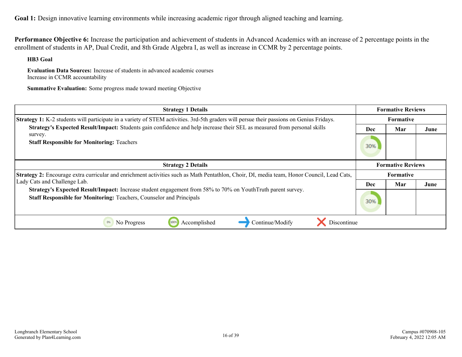**Performance Objective 6:** Increase the participation and achievement of students in Advanced Academics with an increase of 2 percentage points in the enrollment of students in AP, Dual Credit, and 8th Grade Algebra I, as well as increase in CCMR by 2 percentage points.

**HB3 Goal**

**Evaluation Data Sources:** Increase of students in advanced academic courses Increase in CCMR accountability

| <b>Strategy 1 Details</b>                                                                                                                                                           | <b>Formative Reviews</b> |     |      |
|-------------------------------------------------------------------------------------------------------------------------------------------------------------------------------------|--------------------------|-----|------|
| <b>Strategy 1:</b> K-2 students will participate in a variety of STEM activities. 3rd-5th graders will persue their passions on Genius Fridays.                                     | Formative                |     |      |
| Strategy's Expected Result/Impact: Students gain confidence and help increase their SEL as measured from personal skills                                                            | Dec                      | Mar | June |
| survey.<br><b>Staff Responsible for Monitoring: Teachers</b>                                                                                                                        | 30%                      |     |      |
| <b>Strategy 2 Details</b>                                                                                                                                                           | <b>Formative Reviews</b> |     |      |
| <b>Strategy 2:</b> Encourage extra curricular and enrichment activities such as Math Pentathlon, Choir, DI, media team, Honor Council, Lead Cats,                                   | <b>Formative</b>         |     |      |
| Lady Cats and Challenge Lab.                                                                                                                                                        | Dec                      | Mar | June |
| Strategy's Expected Result/Impact: Increase student engagement from 58% to 70% on YouthTruth parent survey.<br>Staff Responsible for Monitoring: Teachers, Counselor and Principals | 30%                      |     |      |
| Discontinue<br>Accomplished<br>Continue/Modify<br>No Progress<br>1009                                                                                                               |                          |     |      |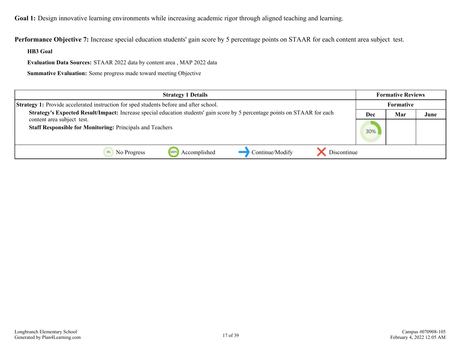**Performance Objective 7:** Increase special education students' gain score by 5 percentage points on STAAR for each content area subject test.

**HB3 Goal**

**Evaluation Data Sources:** STAAR 2022 data by content area , MAP 2022 data

| <b>Strategy 1 Details</b>                                                                                                          | <b>Formative Reviews</b> |           |      |
|------------------------------------------------------------------------------------------------------------------------------------|--------------------------|-----------|------|
| Strategy 1: Provide accelerated instruction for sped students before and after school.                                             |                          | Formative |      |
| <b>Strategy's Expected Result/Impact:</b> Increase special education students' gain score by 5 percentage points on STAAR for each | Dec                      | Mar       | June |
| content area subject test.<br><b>Staff Responsible for Monitoring: Principals and Teachers</b>                                     | 30%                      |           |      |
| Continue/Modify<br>Discontinue<br>Accomplished<br>No Progress                                                                      |                          |           |      |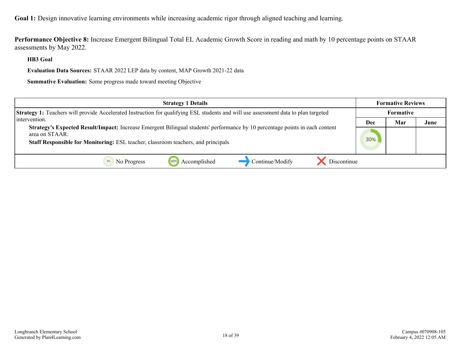**Performance Objective 8:** Increase Emergent Bilingual Total EL Academic Growth Score in reading and math by 10 percentage points on STAAR assessments by May 2022.

**HB3 Goal**

**Evaluation Data Sources:** STAAR 2022 LEP data by content, MAP Growth 2021-22 data

| <b>Strategy 1 Details</b>                                                                                                                                                                                                                  | <b>Formative Reviews</b> |     |      |
|--------------------------------------------------------------------------------------------------------------------------------------------------------------------------------------------------------------------------------------------|--------------------------|-----|------|
| <b>Strategy 1:</b> Teachers will provide Accelerated Instruction for qualifying ESL students and will use assessment data to plan targeted                                                                                                 | <b>Formative</b>         |     |      |
| l intervention.                                                                                                                                                                                                                            | Dec                      | Mar | June |
| Strategy's Expected Result/Impact: Increase Emergent Bilingual students' performance by 10 percentage points in each content<br>area on STAAR.<br><b>Staff Responsible for Monitoring:</b> ESL teacher, classroom teachers, and principals | 30%                      |     |      |
| Accomplished<br>Continue/Modify<br>Discontinue<br>No Progress                                                                                                                                                                              |                          |     |      |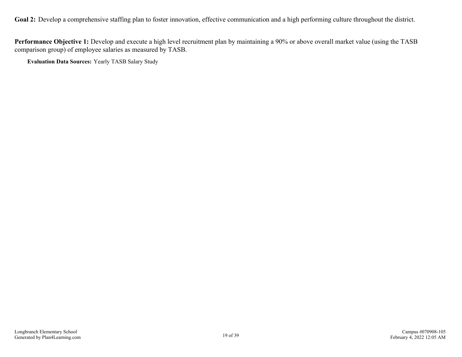<span id="page-18-0"></span>Goal 2: Develop a comprehensive staffing plan to foster innovation, effective communication and a high performing culture throughout the district.

**Performance Objective 1:** Develop and execute a high level recruitment plan by maintaining a 90% or above overall market value (using the TASB comparison group) of employee salaries as measured by TASB.

**Evaluation Data Sources:** Yearly TASB Salary Study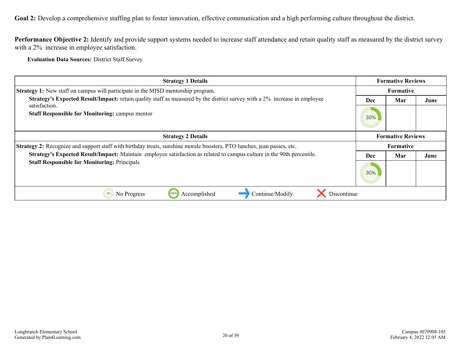**Goal 2:** Develop a comprehensive staffing plan to foster innovation, effective communication and a high performing culture throughout the district.

**Performance Objective 2:** Identify and provide support systems needed to increase staff attendance and retain quality staff as measured by the district survey with a 2% increase in employee satisfaction.

**Evaluation Data Sources:** District Staff Survey

| <b>Strategy 1 Details</b>                                                                                                     | <b>Formative Reviews</b> |                          |      |
|-------------------------------------------------------------------------------------------------------------------------------|--------------------------|--------------------------|------|
| Strategy 1: New staff on campus will participate in the MISD mentorship program.                                              | <b>Formative</b>         |                          |      |
| Strategy's Expected Result/Impact: retain quality staff as measured by the district survey with a 2% increase in employee     | <b>Dec</b>               | Mar                      | June |
| satisfaction.<br><b>Staff Responsible for Monitoring: campus mentor</b>                                                       | 30%                      |                          |      |
| <b>Strategy 2 Details</b>                                                                                                     |                          | <b>Formative Reviews</b> |      |
| <b>Strategy 2:</b> Recognize and support staff with birthday treats, sunshine morale boosters, PTO lunches, jean passes, etc. | <b>Formative</b>         |                          |      |
| Strategy's Expected Result/Impact: Maintain employee satisfaction as related to campus culture in the 90th percentile.        | <b>Dec</b>               | Mar                      | June |
| <b>Staff Responsible for Monitoring: Principals</b>                                                                           | 30%                      |                          |      |
| Discontinue<br>Continue/Modify<br>Accomplished<br>0%<br>No Progress<br>100%                                                   |                          |                          |      |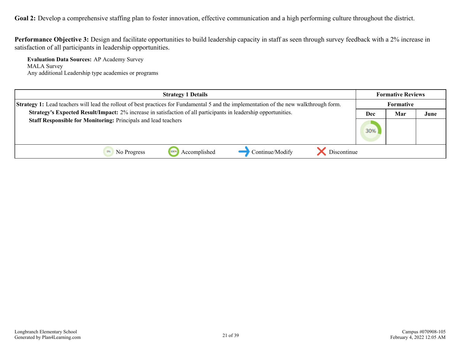Goal 2: Develop a comprehensive staffing plan to foster innovation, effective communication and a high performing culture throughout the district.

**Performance Objective 3:** Design and facilitate opportunities to build leadership capacity in staff as seen through survey feedback with a 2% increase in satisfaction of all participants in leadership opportunities.

**Evaluation Data Sources:** AP Academy Survey MALA Survey Any additional Leadership type academies or programs

| <b>Strategy 1 Details</b>                                                                                                                      | <b>Formative Reviews</b> |           |      |
|------------------------------------------------------------------------------------------------------------------------------------------------|--------------------------|-----------|------|
| <b>Strategy 1:</b> Lead teachers will lead the rollout of best practices for Fundamental 5 and the implementation of the new walkthrough form. |                          | Formative |      |
| Strategy's Expected Result/Impact: 2% increase in satisfaction of all participants in leadership opportunities.                                | Dec                      | Mar       | June |
| Staff Responsible for Monitoring: Principals and lead teachers                                                                                 | 30%                      |           |      |
| Continue/Modify<br>Accomplished<br>Discontinue<br>No Progress                                                                                  |                          |           |      |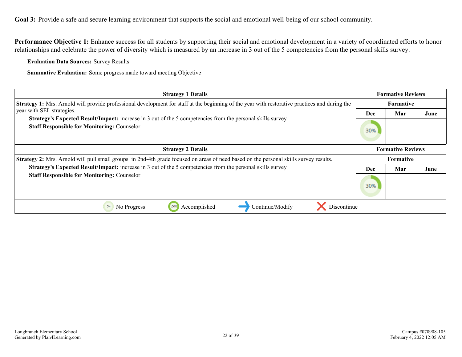<span id="page-21-0"></span>Performance Objective 1: Enhance success for all students by supporting their social and emotional development in a variety of coordinated efforts to honor relationships and celebrate the power of diversity which is measured by an increase in 3 out of the 5 competencies from the personal skills survey.

**Evaluation Data Sources:** Survey Results

| <b>Strategy 1 Details</b>                                                                                                                                               | <b>Formative Reviews</b> |                          |      |
|-------------------------------------------------------------------------------------------------------------------------------------------------------------------------|--------------------------|--------------------------|------|
| <b>Strategy 1:</b> Mrs. Arnold will provide professional development for staff at the beginning of the year with restorative practices and during the                   | <b>Formative</b>         |                          |      |
| vear with SEL strategies.                                                                                                                                               | Dec                      | Mar                      | June |
| <b>Strategy's Expected Result/Impact:</b> increase in 3 out of the 5 competencies from the personal skills survey<br><b>Staff Responsible for Monitoring: Counselor</b> | 30%                      |                          |      |
| <b>Strategy 2 Details</b>                                                                                                                                               |                          | <b>Formative Reviews</b> |      |
| Strategy 2: Mrs. Arnold will pull small groups in 2nd-4th grade focused on areas of need based on the personal skills survey results.                                   | <b>Formative</b>         |                          |      |
| Strategy's Expected Result/Impact: increase in 3 out of the 5 competencies from the personal skills survey                                                              | Dec                      | Mar                      | June |
| <b>Staff Responsible for Monitoring: Counselor</b>                                                                                                                      | 30%                      |                          |      |
| 0%<br>100%<br>Discontinue<br>Continue/Modify<br>No Progress<br>Accomplished                                                                                             |                          |                          |      |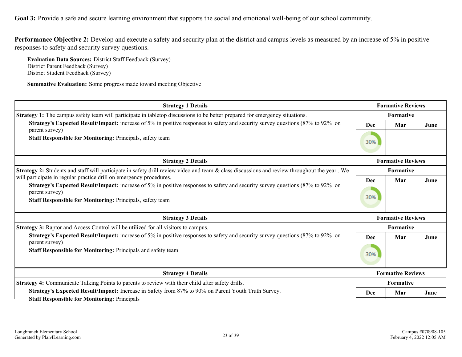**Performance Objective 2:** Develop and execute a safety and security plan at the district and campus levels as measured by an increase of 5% in positive responses to safety and security survey questions.

**Evaluation Data Sources:** District Staff Feedback (Survey) District Parent Feedback (Survey) District Student Feedback (Survey)

| <b>Strategy 1 Details</b>                                                                                                                               | <b>Formative Reviews</b> |                          |      |  |
|---------------------------------------------------------------------------------------------------------------------------------------------------------|--------------------------|--------------------------|------|--|
| <b>Strategy 1:</b> The campus safety team will participate in tabletop discussions to be better prepared for emergency situations.                      |                          | Formative                |      |  |
| Strategy's Expected Result/Impact: increase of 5% in positive responses to safety and security survey questions (87% to 92% on                          | Dec                      | Mar                      | June |  |
| parent survey)<br><b>Staff Responsible for Monitoring: Principals, safety team</b>                                                                      | 30%                      |                          |      |  |
| <b>Strategy 2 Details</b>                                                                                                                               |                          | <b>Formative Reviews</b> |      |  |
| Strategy 2: Students and staff will participate in safety drill review video and team & class discussions and review throughout the year. We            |                          | Formative                |      |  |
| will participate in regular practice drill on emergency procedures.                                                                                     | <b>Dec</b>               | Mar                      | June |  |
| <b>Strategy's Expected Result/Impact:</b> increase of 5% in positive responses to safety and security survey questions (87% to 92% on<br>parent survey) | 30%                      |                          |      |  |
| <b>Staff Responsible for Monitoring: Principals, safety team</b>                                                                                        |                          |                          |      |  |
| <b>Strategy 3 Details</b>                                                                                                                               | <b>Formative Reviews</b> |                          |      |  |
| <b>Strategy 3:</b> Raptor and Access Control will be utilized for all visitors to campus.                                                               |                          | <b>Formative</b>         |      |  |
| <b>Strategy's Expected Result/Impact:</b> increase of 5% in positive responses to safety and security survey questions (87% to 92% on<br>parent survey) | Dec                      | Mar                      | June |  |
| Staff Responsible for Monitoring: Principals and safety team                                                                                            | 30%                      |                          |      |  |
| <b>Strategy 4 Details</b>                                                                                                                               | <b>Formative Reviews</b> |                          |      |  |
| Strategy 4: Communicate Talking Points to parents to review with their child after safety drills.                                                       | Formative                |                          |      |  |
| Strategy's Expected Result/Impact: Increase in Safety from 87% to 90% on Parent Youth Truth Survey.                                                     | Dec                      | Mar                      | June |  |
| <b>Staff Responsible for Monitoring: Principals</b>                                                                                                     |                          |                          |      |  |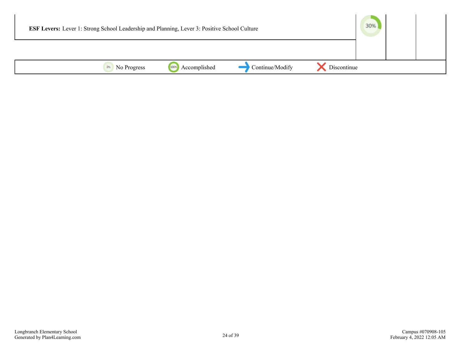| <b>ESF Levers:</b> Lever 1: Strong School Leadership and Planning, Lever 3: Positive School Culture |                      |                 |             | 30% |  |
|-----------------------------------------------------------------------------------------------------|----------------------|-----------------|-------------|-----|--|
|                                                                                                     |                      |                 |             |     |  |
| 0%<br>No Progress                                                                                   | Accomplished<br>100% | Continue/Modify | Discontinue |     |  |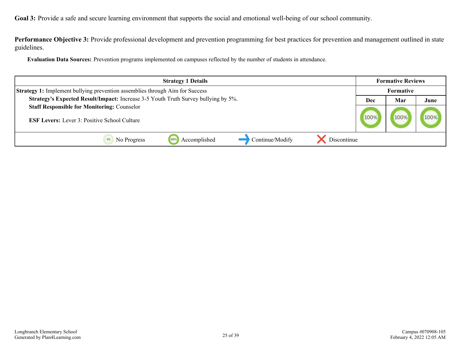**Performance Objective 3:** Provide professional development and prevention programming for best practices for prevention and management outlined in state guidelines.

**Evaluation Data Sources:** Prevention programs implemented on campuses reflected by the number of students in attendance.

| <b>Strategy 1 Details</b>                                                           |      |     | <b>Formative Reviews</b> |
|-------------------------------------------------------------------------------------|------|-----|--------------------------|
| <b>Strategy 1:</b> Implement bullying prevention assemblies through Aim for Success |      |     |                          |
| Strategy's Expected Result/Impact: Increase 3-5 Youth Truth Survey bullying by 5%.  | Dec  | Mar | June                     |
| <b>Staff Responsible for Monitoring: Counselor</b>                                  |      |     |                          |
| <b>ESF Levers:</b> Lever 3: Positive School Culture                                 | 100% |     | 100%                     |
| Accomplished<br>Continue/Modify<br>Discontinue<br>1009<br>No Progress               |      |     |                          |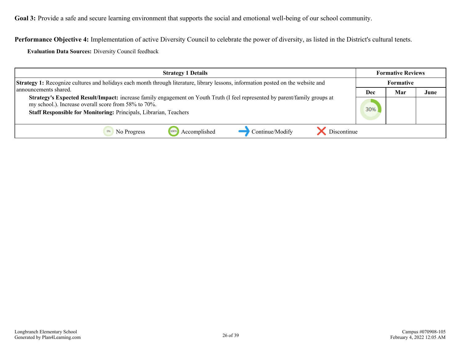**Performance Objective 4:** Implementation of active Diversity Council to celebrate the power of diversity, as listed in the District's cultural tenets.

**Evaluation Data Sources:** Diversity Council feedback

| <b>Strategy 1 Details</b>                                                                                                                                                                                                                                       |  | <b>Formative Reviews</b> |      |
|-----------------------------------------------------------------------------------------------------------------------------------------------------------------------------------------------------------------------------------------------------------------|--|--------------------------|------|
| Strategy 1: Recognize cultures and holidays each month through literature, library lessons, information posted on the website and<br>announcements shared.                                                                                                      |  | Formative                |      |
|                                                                                                                                                                                                                                                                 |  | Mar                      | June |
| <b>Strategy's Expected Result/Impact:</b> increase family engagement on Youth Truth (I feel represented by parent/family groups at<br>my school.). Increase overall score from 58% to 70%.<br>Staff Responsible for Monitoring: Principals, Librarian, Teachers |  |                          |      |
| Continue/Modify<br>Discontinue<br>Accomplished<br>No Progress                                                                                                                                                                                                   |  |                          |      |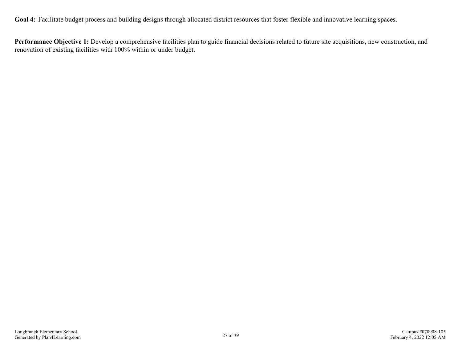<span id="page-26-0"></span>Goal 4: Facilitate budget process and building designs through allocated district resources that foster flexible and innovative learning spaces.

**Performance Objective 1:** Develop a comprehensive facilities plan to guide financial decisions related to future site acquisitions, new construction, and renovation of existing facilities with 100% within or under budget.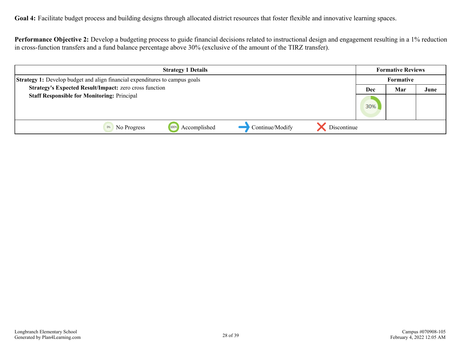**Goal 4:** Facilitate budget process and building designs through allocated district resources that foster flexible and innovative learning spaces.

**Performance Objective 2:** Develop a budgeting process to guide financial decisions related to instructional design and engagement resulting in a 1% reduction in cross-function transfers and a fund balance percentage above 30% (exclusive of the amount of the TIRZ transfer).

| <b>Strategy 1 Details</b>                                                          |              |                 | <b>Formative Reviews</b> |     |           |      |
|------------------------------------------------------------------------------------|--------------|-----------------|--------------------------|-----|-----------|------|
| <b>Strategy 1:</b> Develop budget and align financial expenditures to campus goals |              |                 |                          |     | Formative |      |
| Strategy's Expected Result/Impact: zero cross function                             |              |                 |                          | Dec | Mar       | June |
| <b>Staff Responsible for Monitoring: Principal</b>                                 |              |                 |                          | 30% |           |      |
| 1009<br>No Progress                                                                | Accomplished | Continue/Modify | Discontinue              |     |           |      |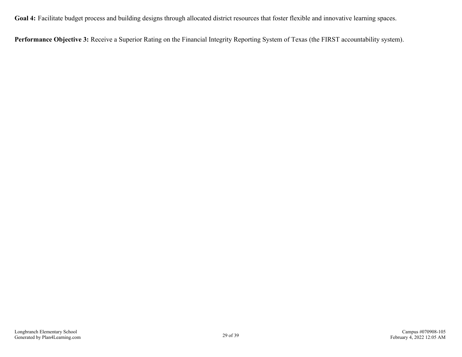**Goal 4:** Facilitate budget process and building designs through allocated district resources that foster flexible and innovative learning spaces.

**Performance Objective 3:** Receive a Superior Rating on the Financial Integrity Reporting System of Texas (the FIRST accountability system).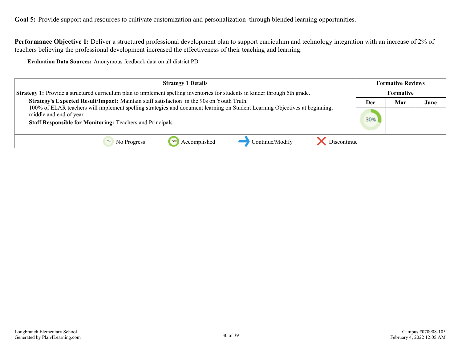<span id="page-29-0"></span>Goal 5: Provide support and resources to cultivate customization and personalization through blended learning opportunities.

**Performance Objective 1:** Deliver a structured professional development plan to support curriculum and technology integration with an increase of 2% of teachers believing the professional development increased the effectiveness of their teaching and learning.

**Evaluation Data Sources:** Anonymous feedback data on all district PD

| <b>Strategy 1 Details</b>                                                                                                                                                                                                  |     | <b>Formative Reviews</b> |      |
|----------------------------------------------------------------------------------------------------------------------------------------------------------------------------------------------------------------------------|-----|--------------------------|------|
| <b>Strategy 1:</b> Provide a structured curriculum plan to implement spelling inventories for students in kinder through 5th grade.                                                                                        |     | Formative                |      |
| Strategy's Expected Result/Impact: Maintain staff satisfaction in the 90s on Youth Truth.                                                                                                                                  | Dec | Mar                      | June |
| 100% of ELAR teachers will implement spelling strategies and document learning on Student Learning Objectives at beginning,<br>middle and end of year.<br><b>Staff Responsible for Monitoring: Teachers and Principals</b> |     |                          |      |
| Continue/Modify<br>Discontinue<br>Accomplished<br>No Progress<br>1009                                                                                                                                                      |     |                          |      |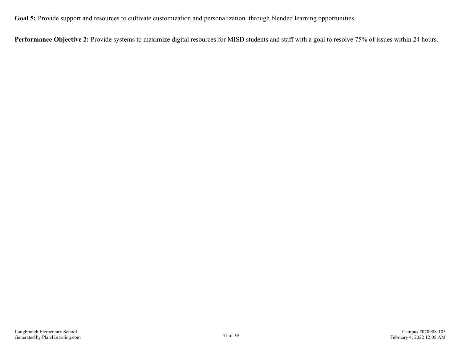Goal 5: Provide support and resources to cultivate customization and personalization through blended learning opportunities.

Performance Objective 2: Provide systems to maximize digital resources for MISD students and staff with a goal to resolve 75% of issues within 24 hours.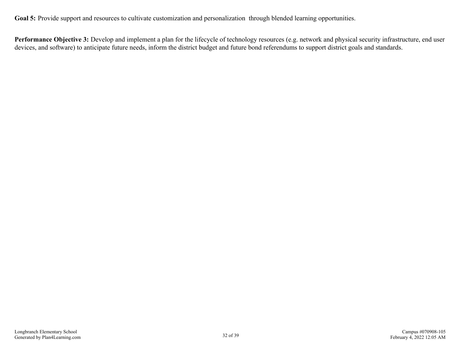Goal 5: Provide support and resources to cultivate customization and personalization through blended learning opportunities.

Performance Objective 3: Develop and implement a plan for the lifecycle of technology resources (e.g. network and physical security infrastructure, end user devices, and software) to anticipate future needs, inform the district budget and future bond referendums to support district goals and standards.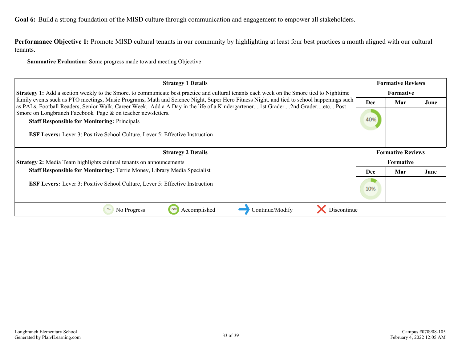<span id="page-32-0"></span>**Performance Objective 1:** Promote MISD cultural tenants in our community by highlighting at least four best practices a month aligned with our cultural tenants.

| <b>Strategy 1 Details</b>                                                                                                                                                                                                                                                |            | <b>Formative Reviews</b> |      |  |
|--------------------------------------------------------------------------------------------------------------------------------------------------------------------------------------------------------------------------------------------------------------------------|------------|--------------------------|------|--|
| <b>Strategy 1:</b> Add a section weekly to the Smore. to communicate best practice and cultural tenants each week on the Smore tied to Nighttime                                                                                                                         |            | <b>Formative</b>         |      |  |
| family events such as PTO meetings, Music Programs, Math and Science Night, Super Hero Fitness Night. and tied to school happenings such<br>as PALs, Football Readers, Senior Walk, Career Week. Add a A Day in the life of a Kindergartener1st Grader2nd Graderetc Post | <b>Dec</b> | Mar                      | June |  |
| Smore on Longbranch Facebook Page & on teacher newsletters.                                                                                                                                                                                                              |            |                          |      |  |
| <b>Staff Responsible for Monitoring: Principals</b>                                                                                                                                                                                                                      | 40%        |                          |      |  |
| <b>ESF Levers:</b> Lever 3: Positive School Culture, Lever 5: Effective Instruction                                                                                                                                                                                      |            |                          |      |  |
| <b>Strategy 2 Details</b>                                                                                                                                                                                                                                                |            | <b>Formative Reviews</b> |      |  |
| <b>Strategy 2:</b> Media Team highlights cultural tenants on announcements                                                                                                                                                                                               |            | Formative                |      |  |
| <b>Staff Responsible for Monitoring: Terrie Money, Library Media Specialist</b>                                                                                                                                                                                          |            | Mar                      | June |  |
| <b>ESF Levers:</b> Lever 3: Positive School Culture, Lever 5: Effective Instruction                                                                                                                                                                                      | 10%        |                          |      |  |
| Discontinue<br>No Progress<br>Accomplished<br>Continue/Modify<br>0%<br>100%                                                                                                                                                                                              |            |                          |      |  |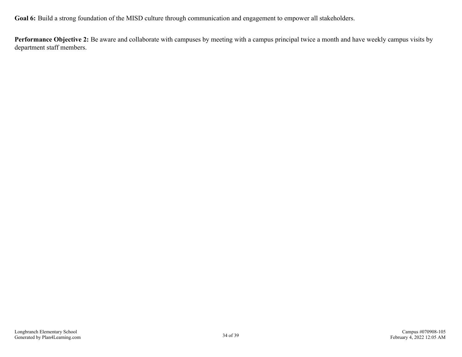**Performance Objective 2:** Be aware and collaborate with campuses by meeting with a campus principal twice a month and have weekly campus visits by department staff members.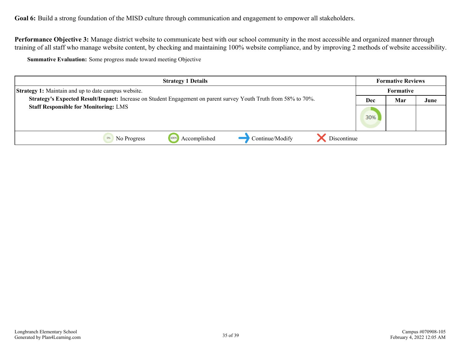**Performance Objective 3:** Manage district website to communicate best with our school community in the most accessible and organized manner through training of all staff who manage website content, by checking and maintaining 100% website compliance, and by improving 2 methods of website accessibility.

| <b>Strategy 1 Details</b>                                                                                       |     | <b>Formative Reviews</b> |      |
|-----------------------------------------------------------------------------------------------------------------|-----|--------------------------|------|
| <b>Strategy 1:</b> Maintain and up to date campus website.                                                      |     | <b>Formative</b>         |      |
| Strategy's Expected Result/Impact: Increase on Student Engagement on parent survey Youth Truth from 58% to 70%. |     | Mar                      | June |
| <b>Staff Responsible for Monitoring: LMS</b>                                                                    | 30% |                          |      |
| Continue/Modify<br>Accomplished<br>Discontinue<br>1009<br>No Progress                                           |     |                          |      |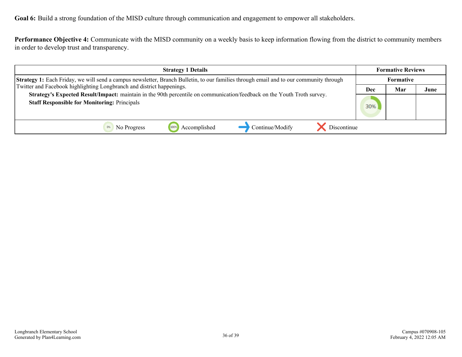**Performance Objective 4:** Communicate with the MISD community on a weekly basis to keep information flowing from the district to community members in order to develop trust and transparency.

| <b>Strategy 1 Details</b>                                                                                                                                                                                                                                                                                                                                                                         |  | <b>Formative Reviews</b> |      |
|---------------------------------------------------------------------------------------------------------------------------------------------------------------------------------------------------------------------------------------------------------------------------------------------------------------------------------------------------------------------------------------------------|--|--------------------------|------|
| Strategy 1: Each Friday, we will send a campus newsletter, Branch Bulletin, to our families through email and to our community through<br>Twitter and Facebook highlighting Longbranch and district happenings.<br>Strategy's Expected Result/Impact: maintain in the 90th percentile on communication/feedback on the Youth Troth survey.<br><b>Staff Responsible for Monitoring: Principals</b> |  | Formative                |      |
|                                                                                                                                                                                                                                                                                                                                                                                                   |  | Mar                      | June |
|                                                                                                                                                                                                                                                                                                                                                                                                   |  |                          |      |
| Continue/Modify<br>Discontinue<br>Accomplished<br>No Progress                                                                                                                                                                                                                                                                                                                                     |  |                          |      |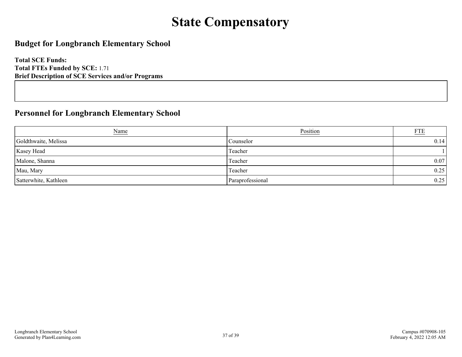# **State Compensatory**

## <span id="page-36-0"></span>**Budget for Longbranch Elementary School**

**Total SCE Funds: Total FTEs Funded by SCE:** 1.71 **Brief Description of SCE Services and/or Programs**

## **Personnel for Longbranch Elementary School**

| Name                  | Position         | <b>FTE</b> |
|-----------------------|------------------|------------|
| Goldthwaite, Melissa  | Counselor        | 0.14       |
| Kasey Head            | Teacher          |            |
| Malone, Shanna        | Teacher          | 0.07       |
| Mau, Mary             | Teacher          | 0.25       |
| Satterwhite, Kathleen | Paraprofessional | 0.25       |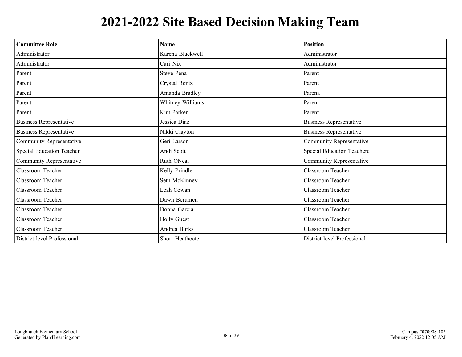# **2021-2022 Site Based Decision Making Team**

<span id="page-37-0"></span>

| <b>Committee Role</b>            | <b>Name</b>        | <b>Position</b>                   |
|----------------------------------|--------------------|-----------------------------------|
| Administrator                    | Karena Blackwell   | Administrator                     |
| Administrator                    | Cari Nix           | Administrator                     |
| Parent                           | Steve Pena         | Parent                            |
| Parent                           | Crystal Rentz      | Parent                            |
| Parent                           | Amanda Bradley     | Parena                            |
| Parent                           | Whitney Williams   | Parent                            |
| Parent                           | Kim Parker         | Parent                            |
| <b>Business Representative</b>   | Jessica Diaz       | <b>Business Representative</b>    |
| <b>Business Representative</b>   | Nikki Clayton      | <b>Business Representative</b>    |
| Community Representative         | Geri Larson        | <b>Community Representative</b>   |
| <b>Special Education Teacher</b> | Andi Scott         | <b>Special Education Teachere</b> |
| Community Representative         | Ruth ONeal         | Community Representative          |
| Classroom Teacher                | Kelly Prindle      | Classroom Teacher                 |
| Classroom Teacher                | Seth McKinney      | Classroom Teacher                 |
| <b>Classroom Teacher</b>         | Leah Cowan         | Classroom Teacher                 |
| Classroom Teacher                | Dawn Berumen       | Classroom Teacher                 |
| Classroom Teacher                | Donna Garcia       | Classroom Teacher                 |
| Classroom Teacher                | <b>Holly Guest</b> | Classroom Teacher                 |
| Classroom Teacher                | Andrea Burks       | Classroom Teacher                 |
| District-level Professional      | Shorr Heathcote    | District-level Professional       |